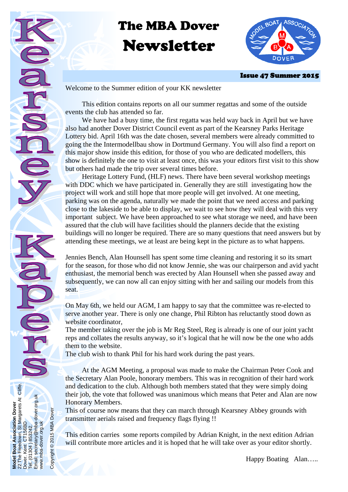# The MBA Dover Newsletter



Issue 47 Summer 2015

Welcome to the Summer edition of your KK newsletter

 This edition contains reports on all our summer regattas and some of the outside events the club has attended so far.

 We have had a busy time, the first regatta was held way back in April but we have also had another Dover District Council event as part of the Kearsney Parks Heritage Lottery bid. April 16th was the date chosen, several members were already committed to going the the Intermodellbau show in Dortmund Germany. You will also find a report on this major show inside this edition, for those of you who are dedicated modellers, this show is definitely the one to visit at least once, this was your editors first visit to this show but others had made the trip over several times before.

 Heritage Lottery Fund, (HLF) news. There have been several workshop meetings with DDC which we have participated in. Generally they are still investigating how the project will work and still hope that more people will get involved. At one meeting, parking was on the agenda, naturally we made the point that we need access and parking close to the lakeside to be able to display, we wait to see how they will deal with this very important subject. We have been approached to see what storage we need, and have been assured that the club will have facilities should the planners decide that the existing buildings will no longer be required. There are so many questions that need answers but by attending these meetings, we at least are being kept in the picture as to what happens.

Jennies Bench, Alan Hounsell has spent some time cleaning and restoring it so its smart for the season, for those who did not know Jennie, she was our chairperson and avid yacht enthusiast, the memorial bench was erected by Alan Hounsell when she passed away and subsequently, we can now all can enjoy sitting with her and sailing our models from this seat.

On May 6th, we held our AGM, I am happy to say that the committee was re-elected to serve another year. There is only one change, Phil Ribton has reluctantly stood down as website coordinator,

The member taking over the job is Mr Reg Steel, Reg is already is one of our joint yacht reps and collates the results anyway, so it's logical that he will now be the one who adds them to the website.

The club wish to thank Phil for his hard work during the past years.

 At the AGM Meeting, a proposal was made to make the Chairman Peter Cook and the Secretary Alan Poole, honorary members. This was in recognition of their hard work and dedication to the club. Although both members stated that they were simply doing their job, the vote that followed was unanimous which means that Peter and Alan are now Honorary Members.

This of course now means that they can march through Kearsney Abbey grounds with transmitter aerials raised and frequency flags flying !!

This edition carries some reports compiled by Adrian Knight, in the next edition Adrian will contribute more articles and it is hoped that he will take over as your editor shortly.

Happy Boating Alan…..

22 The Freedown, St Margarets At Cliffe. Boat Association Dover<br>Freedown, St Margarets At Cliffe.<br>Kent CT156BD Email: secretary@mba-dover.org.uk Tel. (01304 ) 853242.<br>Email: secretary@mba-dover.org.uk **Model Boat Association Dover**  Copyright @ 2015 MBA Dover Dover. Kent CT156BD www.mba-dover.org.uk www.mba-dover.org.uk 853242. Tel. (01304 ) 853242. **Model Boat A**<br>22 The Freed<br>Dover. Kent (

Copyright © 2015 MBA Dover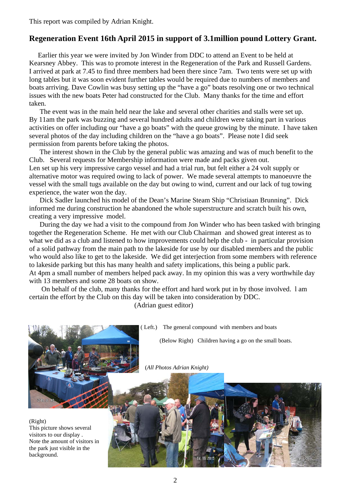This report was compiled by Adrian Knight.

## **Regeneration Event 16th April 2015 in support of 3.1million pound Lottery Grant.**

 Earlier this year we were invited by Jon Winder from DDC to attend an Event to be held at Kearsney Abbey. This was to promote interest in the Regeneration of the Park and Russell Gardens. I arrived at park at 7.45 to find three members had been there since 7am. Two tents were set up with long tables but it was soon evident further tables would be required due to numbers of members and boats arriving. Dave Cowlin was busy setting up the "have a go" boats resolving one or two technical issues with the new boats Peter had constructed for the Club. Many thanks for the time and effort taken.

 The event was in the main held near the lake and several other charities and stalls were set up. By 11am the park was buzzing and several hundred adults and children were taking part in various activities on offer including our "have a go boats" with the queue growing by the minute. I have taken several photos of the day including children on the "have a go boats". Please note l did seek permission from parents before taking the photos.

 The interest shown in the Club by the general public was amazing and was of much benefit to the Club. Several requests for Membership information were made and packs given out. Len set up his very impressive cargo vessel and had a trial run, but felt either a 24 volt supply or alternative motor was required owing to lack of power. We made several attempts to manoeuvre the vessel with the small tugs available on the day but owing to wind, current and our lack of tug towing experience, the water won the day.

 Dick Sadler launched his model of the Dean's Marine Steam Ship "Christiaan Brunning". Dick informed me during construction he abandoned the whole superstructure and scratch built his own, creating a very impressive model.

 During the day we had a visit to the compound from Jon Winder who has been tasked with bringing together the Regeneration Scheme. He met with our Club Chairman and showed great interest as to what we did as a club and listened to how improvements could help the club - in particular provision of a solid pathway from the main path to the lakeside for use by our disabled members and the public who would also like to get to the lakeside. We did get interjection from some members with reference to lakeside parking but this has many health and safety implications, this being a public park. At 4pm a small number of members helped pack away. In my opinion this was a very worthwhile day with 13 members and some 28 boats on show.

 On behalf of the club, many thanks for the effort and hard work put in by those involved. l am certain the effort by the Club on this day will be taken into consideration by DDC. (Adrian guest editor)

( Left.) The general compound with members and boats

(Below Right) Children having a go on the small boats.

(*All Photos Adrian Knight)* 

(Right) This picture shows several visitors to our display . Note the amount of visitors in the park just visible in the background.

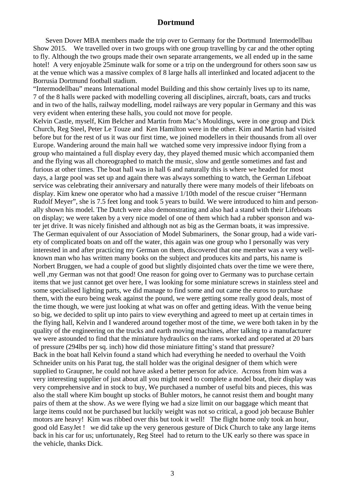### **Dortmund**

 Seven Dover MBA members made the trip over to Germany for the Dortmund Intermodellbau Show 2015. We travelled over in two groups with one group travelling by car and the other opting to fly. Although the two groups made their own separate arrangements, we all ended up in the same hotel! A very enjoyable 25minute walk for some or a trip on the underground for others soon saw us at the venue which was a massive complex of 8 large halls all interlinked and located adjacent to the Borrusia Dortmund football stadium.

"Intermodellbau" means International model Building and this show certainly lives up to its name, 7 of the 8 halls were packed with modelling covering all disciplines, aircraft, boats, cars and trucks and in two of the halls, railway modelling, model railways are very popular in Germany and this was very evident when entering these halls, you could not move for people.

Kelvin Castle, myself, Kim Belcher and Martin from Mac's Mouldings, were in one group and Dick Church, Reg Steel, Peter Le Touze and Ken Hamilton were in the other. Kim and Martin had visited before but for the rest of us it was our first time, we joined modellers in their thousands from all over Europe. Wandering around the main hall we watched some very impressive indoor flying from a group who maintained a full display every day, they played themed music which accompanied them and the flying was all choreographed to match the music, slow and gentle sometimes and fast and furious at other times. The boat hall was in hall 6 and naturally this is where we headed for most days, a large pool was set up and again there was always something to watch, the German Lifeboat service was celebrating their anniversary and naturally there were many models of their lifeboats on display. Kim knew one operator who had a massive 1/10th model of the rescue cruiser "Hermann Rudolf Meyer", she is 7.5 feet long and took 5 years to build. We were introduced to him and personally shown his model. The Dutch were also demonstrating and also had a stand with their Lifeboats on display; we were taken by a very nice model of one of them which had a rubber sponson and water jet drive. It was nicely finished and although not as big as the German boats, it was impressive. The German equivalent of our Association of Model Submariners, the Sonar group, had a wide variety of complicated boats on and off the water, this again was one group who I personally was very interested in and after practicing my German on them, discovered that one member was a very wellknown man who has written many books on the subject and produces kits and parts, his name is Norbert Bruggen, we had a couple of good but slightly disjointed chats over the time we were there, well ,my German was not that good! One reason for going over to Germany was to purchase certain items that we just cannot get over here, I was looking for some miniature screws in stainless steel and some specialised lighting parts, we did manage to find some and out came the euros to purchase them, with the euro being weak against the pound, we were getting some really good deals, most of the time though, we were just looking at what was on offer and getting ideas. With the venue being so big, we decided to split up into pairs to view everything and agreed to meet up at certain times in the flying hall, Kelvin and I wandered around together most of the time, we were both taken in by the quality of the engineering on the trucks and earth moving machines, after talking to a manufacturer we were astounded to find that the miniature hydraulics on the rams worked and operated at 20 bars of pressure (294lbs per sq. inch) how did those miniature fitting's stand that pressure? Back in the boat hall Kelvin found a stand which had everything he needed to overhaul the Voith Schneider units on his Parat tug, the stall holder was the original designer of them which were supplied to Graupner, he could not have asked a better person for advice. Across from him was a very interesting supplier of just about all you might need to complete a model boat, their display was very comprehensive and in stock to buy, We purchased a number of useful bits and pieces, this was also the stall where Kim bought up stocks of Buhler motors, he cannot resist them and bought many pairs of them at the show. As we were flying we had a size limit on our baggage which meant that large items could not be purchased but luckily weight was not so critical, a good job because Buhler motors are heavy! Kim was ribbed over this but took it well! The flight home only took an hour, good old EasyJet ! we did take up the very generous gesture of Dick Church to take any large items back in his car for us; unfortunately, Reg Steel had to return to the UK early so there was space in the vehicle, thanks Dick.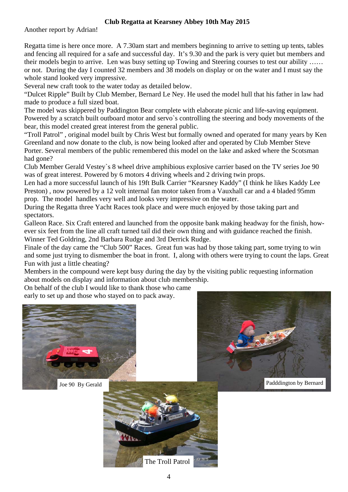## **Club Regatta at Kearsney Abbey 10th May 2015**

Another report by Adrian!

Regatta time is here once more. A 7.30am start and members beginning to arrive to setting up tents, tables and fencing all required for a safe and successful day. It's 9.30 and the park is very quiet but members and their models begin to arrive. Len was busy setting up Towing and Steering courses to test our ability …… or not. During the day I counted 32 members and 38 models on display or on the water and I must say the whole stand looked very impressive.

Several new craft took to the water today as detailed below.

"Dulcet Ripple" Built by Club Member, Bernard Le Ney. He used the model hull that his father in law had made to produce a full sized boat.

The model was skippered by Paddington Bear complete with elaborate picnic and life-saving equipment. Powered by a scratch built outboard motor and servo`s controlling the steering and body movements of the bear, this model created great interest from the general public.

"Troll Patrol" , original model built by Chris West but formally owned and operated for many years by Ken Greenland and now donate to the club, is now being looked after and operated by Club Member Steve Porter. Several members of the public remembered this model on the lake and asked where the Scotsman had gone?

Club Member Gerald Vestey`s 8 wheel drive amphibious explosive carrier based on the TV series Joe 90 was of great interest. Powered by 6 motors 4 driving wheels and 2 driving twin props.

Len had a more successful launch of his 19ft Bulk Carrier "Kearsney Kaddy" (I think he likes Kaddy Lee Preston) , now powered by a 12 volt internal fan motor taken from a Vauxhall car and a 4 bladed 95mm prop. The model handles very well and looks very impressive on the water.

During the Regatta three Yacht Races took place and were much enjoyed by those taking part and spectators.

Galleon Race. Six Craft entered and launched from the opposite bank making headway for the finish, however six feet from the line all craft turned tail did their own thing and with guidance reached the finish. Winner Ted Goldring, 2nd Barbara Rudge and 3rd Derrick Rudge.

Finale of the day came the "Club 500" Races. Great fun was had by those taking part, some trying to win and some just trying to dismember the boat in front. I, along with others were trying to count the laps. Great Fun with just a little cheating?

Members in the compound were kept busy during the day by the visiting public requesting information about models on display and information about club membership.

On behalf of the club I would like to thank those who came early to set up and those who stayed on to pack away.





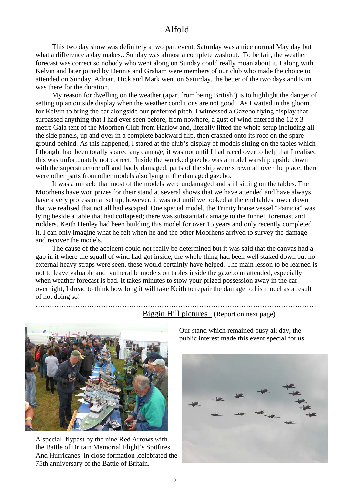# Alfold

 This two day show was definitely a two part event, Saturday was a nice normal May day but what a difference a day makes.. Sunday was almost a complete washout. To be fair, the weather forecast was correct so nobody who went along on Sunday could really moan about it. I along with Kelvin and later joined by Dennis and Graham were members of our club who made the choice to attended on Sunday, Adrian, Dick and Mark went on Saturday, the better of the two days and Kim was there for the duration.

 My reason for dwelling on the weather (apart from being British!) is to highlight the danger of setting up an outside display when the weather conditions are not good. As I waited in the gloom for Kelvin to bring the car alongside our preferred pitch, I witnessed a Gazebo flying display that surpassed anything that I had ever seen before, from nowhere, a gust of wind entered the 12 x 3 metre Gala tent of the Moorhen Club from Harlow and, literally lifted the whole setup including all the side panels, up and over in a complete backward flip, then crashed onto its roof on the spare ground behind. As this happened, I stared at the club's display of models sitting on the tables which I thought had been totally spared any damage, it was not until I had raced over to help that I realised this was unfortunately not correct. Inside the wrecked gazebo was a model warship upside down with the superstructure off and badly damaged, parts of the ship were strewn all over the place, there were other parts from other models also lying in the damaged gazebo.

 It was a miracle that most of the models were undamaged and still sitting on the tables. The Moorhens have won prizes for their stand at several shows that we have attended and have always have a very professional set up, however, it was not until we looked at the end tables lower down that we realised that not all had escaped. One special model, the Trinity house vessel "Patricia" was lying beside a table that had collapsed; there was substantial damage to the funnel, foremast and rudders. Keith Henley had been building this model for over 15 years and only recently completed it. I can only imagine what he felt when he and the other Moorhens arrived to survey the damage and recover the models.

 The cause of the accident could not really be determined but it was said that the canvas had a gap in it where the squall of wind had got inside, the whole thing had been well staked down but no external heavy straps were seen, these would certainly have helped. The main lesson to be learned is not to leave valuable and vulnerable models on tables inside the gazebo unattended, especially when weather forecast is bad. It takes minutes to stow your prized possession away in the car overnight, I dread to think how long it will take Keith to repair the damage to his model as a result of not doing so!

………………………………………………………………………………………………………….



A special flypast by the nine Red Arrows with the Battle of Britain Memorial Flight's Spitfires And Hurricanes in close formation ,celebrated the 75th anniversary of the Battle of Britain.

Biggin Hill pictures (Report on next page)

 Our stand which remained busy all day, the public interest made this event special for us.

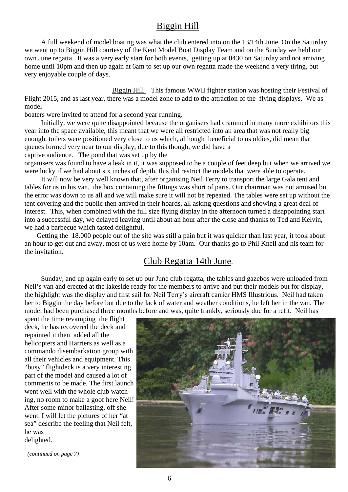# Biggin Hill

 A full weekend of model boating was what the club entered into on the 13/14th June. On the Saturday we went up to Biggin Hill courtesy of the Kent Model Boat Display Team and on the Sunday we held our own June regatta. It was a very early start for both events, getting up at 0430 on Saturday and not arriving home until 10pm and then up again at 6am to set up our own regatta made the weekend a very tiring, but very enjoyable couple of days.

 Biggin Hill This famous WWII fighter station was hosting their Festival of Flight 2015, and as last year, there was a model zone to add to the attraction of the flying displays. We as model

boaters were invited to attend for a second year running.

 Initially, we were quite disappointed because the organisers had crammed in many more exhibitors this year into the space available, this meant that we were all restricted into an area that was not really big enough, toilets were positioned very close to us which, although beneficial to us oldies, did mean that queues formed very near to our display, due to this though, we did have a

captive audience. The pond that was set up by the

organisers was found to have a leak in it, it was supposed to be a couple of feet deep but when we arrived we were lucky if we had about six inches of depth, this did restrict the models that were able to operate.

 It will now be very well known that, after organising Neil Terry to transport the large Gala tent and tables for us in his van, the box containing the fittings was short of parts. Our chairman was not amused but the error was down to us all and we will make sure it will not be repeated. The tables were set up without the tent covering and the public then arrived in their hoards, all asking questions and showing a great deal of interest. This, when combined with the full size flying display in the afternoon turned a disappointing start into a successful day, we delayed leaving until about an hour after the close and thanks to Ted and Kelvin, we had a barbecue which tasted delightful.

 Getting the 18.000 people out of the site was still a pain but it was quicker than last year, it took about an hour to get out and away, most of us were home by 10am. Our thanks go to Phil Knell and his team for the invitation.

# Club Regatta 14th June.

 Sunday, and up again early to set up our June club regatta, the tables and gazebos were unloaded from Neil's van and erected at the lakeside ready for the members to arrive and put their models out for display, the highlight was the display and first sail for Neil Terry's aircraft carrier HMS Illustrious. Neil had taken her to Biggin the day before but due to the lack of water and weather conditions, he left her in the van. The model had been purchased three months before and was, quite frankly, seriously due for a refit. Neil has

spent the time revamping the flight deck, he has recovered the deck and repainted it then added all the helicopters and Harriers as well as a commando disembarkation group with all their vehicles and equipment. This "busy" flightdeck is a very interesting part of the model and caused a lot of comments to be made. The first launch went well with the whole club watching, no room to make a goof here Neil! After some minor ballasting, off she went. I will let the pictures of her "at sea" describe the feeling that Neil felt, he was delighted.

 *(continued on page 7)* 

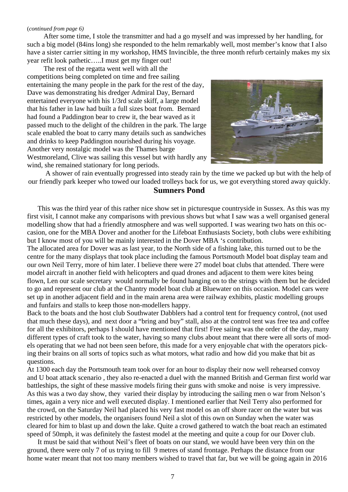#### (*continued from page 6)*

After some time, I stole the transmitter and had a go myself and was impressed by her handling, for such a big model (84ins long) she responded to the helm remarkably well, most member's know that I also have a sister carrier sitting in my workshop, HMS Invincible, the three month refurb certainly makes my six year refit look pathetic…..I must get my finger out!

 The rest of the regatta went well with all the competitions being completed on time and free sailing entertaining the many people in the park for the rest of the day, Dave was demonstrating his dredger Admiral Day, Bernard entertained everyone with his 1/3rd scale skiff, a large model that his father in law had built a full sizes boat from. Bernard had found a Paddington bear to crew it, the bear waved as it passed much to the delight of the children in the park. The large scale enabled the boat to carry many details such as sandwiches and drinks to keep Paddington nourished during his voyage. Another very nostalgic model was the Thames barge Westmoreland, Clive was sailing this vessel but with hardly any wind, she remained stationary for long periods.



 A shower of rain eventually progressed into steady rain by the time we packed up but with the help of our friendly park keeper who towed our loaded trolleys back for us, we got everything stored away quickly.

## **Sumners Pond**

 This was the third year of this rather nice show set in picturesque countryside in Sussex. As this was my first visit, I cannot make any comparisons with previous shows but what I saw was a well organised general modelling show that had a friendly atmosphere and was well supported. I was wearing two hats on this occasion, one for the MBA Dover and another for the Lifeboat Enthusiasts Society, both clubs were exhibiting but I know most of you will be mainly interested in the Dover MBA 's contribution.

The allocated area for Dover was as last year, to the North side of a fishing lake, this turned out to be the centre for the many displays that took place including the famous Portsmouth Model boat display team and our own Neil Terry, more of him later. I believe there were 27 model boat clubs that attended. There were model aircraft in another field with helicopters and quad drones and adjacent to them were kites being flown, Len our scale secretary would normally be found hanging on to the strings with them but he decided to go and represent our club at the Chantry model boat club at Bluewater on this occasion. Model cars were set up in another adjacent field and in the main arena area were railway exhibits, plastic modelling groups and funfairs and stalls to keep those non-modellers happy.

Back to the boats and the host club Southwater Dabblers had a control tent for frequency control, (not used that much these days), and next door a "bring and buy" stall, also at the control tent was free tea and coffee for all the exhibitors, perhaps I should have mentioned that first! Free saiing was the order of the day, many different types of craft took to the water, having so many clubs about meant that there were all sorts of models operating that we had not been seen before, this made for a very enjoyable chat with the operators picking their brains on all sorts of topics such as what motors, what radio and how did you make that bit as questions.

At 1300 each day the Portsmouth team took over for an hour to display their now well rehearsed convoy and U boat attack scenario , they also re-enacted a duel with the manned British and German first world war battleships, the sight of these massive models firing their guns with smoke and noise is very impressive. As this was a two day show, they varied their display by introducing the sailing men o war from Nelson's times, again a very nice and well executed display. I mentioned earlier that Neil Terry also performed for the crowd, on the Saturday Neil had placed his very fast model os an off shore racer on the water but was restricted by other models, the organisers found Neil a slot of this own on Sunday when the water was cleared for him to blast up and down the lake. Quite a crowd gathered to watch the boat reach an estimated speed of 50mph, it was definitely the fastest model at the meeting and quite a coup for our Dover club.

 It must be said that without Neil's fleet of boats on our stand, we would have been very thin on the ground, there were only 7 of us trying to fill 9 metres of stand frontage. Perhaps the distance from our home water meant that not too many members wished to travel that far, but we will be going again in 2016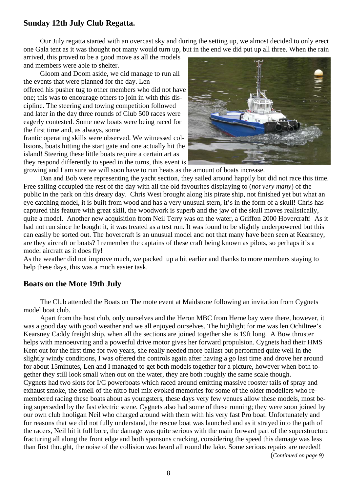## **Sunday 12th July Club Regatta.**

 Our July regatta started with an overcast sky and during the setting up, we almost decided to only erect one Gala tent as it was thought not many would turn up, but in the end we did put up all three. When the rain

arrived, this proved to be a good move as all the models and members were able to shelter.

 Gloom and Doom aside, we did manage to run all the events that were planned for the day. Len offered his pusher tug to other members who did not have one; this was to encourage others to join in with this discipline. The steering and towing competition followed and later in the day three rounds of Club 500 races were eagerly contested. Some new boats were being raced for the first time and, as always, some

frantic operating skills were observed. We witnessed collisions, boats hitting the start gate and one actually hit the island! Steering these little boats require a certain art as they respond differently to speed in the turns, this event is



growing and I am sure we will soon have to run heats as the amount of boats increase.

 Dan and Bob were representing the yacht section, they sailed around happily but did not race this time. Free sailing occupied the rest of the day with all the old favourites displaying to (*not very many*) of the public in the park on this dreary day. Chris West brought along his pirate ship, not finished yet but what an eye catching model, it is built from wood and has a very unusual stern, it's in the form of a skull! Chris has captured this feature with great skill, the woodwork is superb and the jaw of the skull moves realistically, quite a model. Another new acquisition from Neil Terry was on the water, a Griffon 2000 Hovercraft! As it had not run since he bought it, it was treated as a test run. It was found to be slightly underpowered but this can easily be sorted out. The hovercraft is an unusual model and not that many have been seen at Kearsney, are they aircraft or boats? I remember the captains of these craft being known as pilots, so perhaps it's a model aircraft as it does fly!

As the weather did not improve much, we packed up a bit earlier and thanks to more members staying to help these days, this was a much easier task.

### **Boats on the Mote 19th July**

 The Club attended the Boats on The mote event at Maidstone following an invitation from Cygnets model boat club.

 Apart from the host club, only ourselves and the Heron MBC from Herne bay were there, however, it was a good day with good weather and we all enjoyed ourselves. The highlight for me was len Ochiltree's Kearsney Caddy freight ship, when all the sections are joined together she is 19ft long. A Bow thruster helps with manoeuvring and a powerful drive motor gives her forward propulsion. Cygnets had their HMS Kent out for the first time for two years, she really needed more ballast but performed quite well in the slightly windy conditions, I was offered the controls again after having a go last time and drove her around for about 15minutes, Len and I managed to get both models together for a picture, however when both together they still look small when out on the water, they are both roughly the same scale though. Cygnets had two slots for I/C powerboats which raced around emitting massive rooster tails of spray and exhaust smoke, the smell of the nitro fuel mix evoked memories for some of the older modellers who remembered racing these boats about as youngsters, these days very few venues allow these models, most being superseded by the fast electric scene. Cygnets also had some of these running; they were soon joined by our own club hooligan Neil who charged around with them with his very fast Pro boat. Unfortunately and for reasons that we did not fully understand, the rescue boat was launched and as it strayed into the path of the racers, Neil hit it full bore, the damage was quite serious with the main forward part of the superstructure fracturing all along the front edge and both sponsons cracking, considering the speed this damage was less than first thought, the noise of the collision was heard all round the lake. Some serious repairs are needed!

(*Continued on page 9)*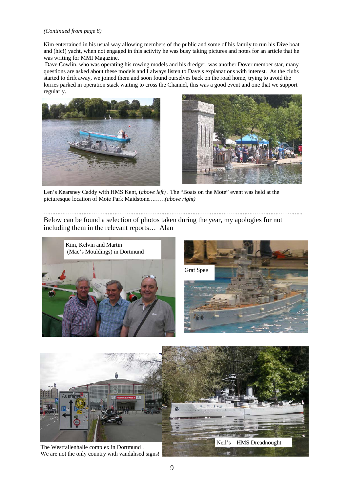#### *(Continued from page 8)*

Kim entertained in his usual way allowing members of the public and some of his family to run his Dive boat and (hic!) yacht, when not engaged in this activity he was busy taking pictures and notes for an article that he was writing for MMI Magazine.

 Dave Cowlin, who was operating his rowing models and his dredger, was another Dover member star, many questions are asked about these models and I always listen to Dave,s explanations with interest. As the clubs started to drift away, we joined them and soon found ourselves back on the road home, trying to avoid the lorries parked in operation stack waiting to cross the Channel, this was a good event and one that we support regularly.





Len's Kearsney Caddy with HMS Kent, (*above left)* . The "Boats on the Mote" event was held at the picturesque location of Mote Park Maidstone*………(above right)* 

*…………………………………………………………………………………………………………………………………...*  Below can be found a selection of photos taken during the year, my apologies for not including them in the relevant reports… Alan